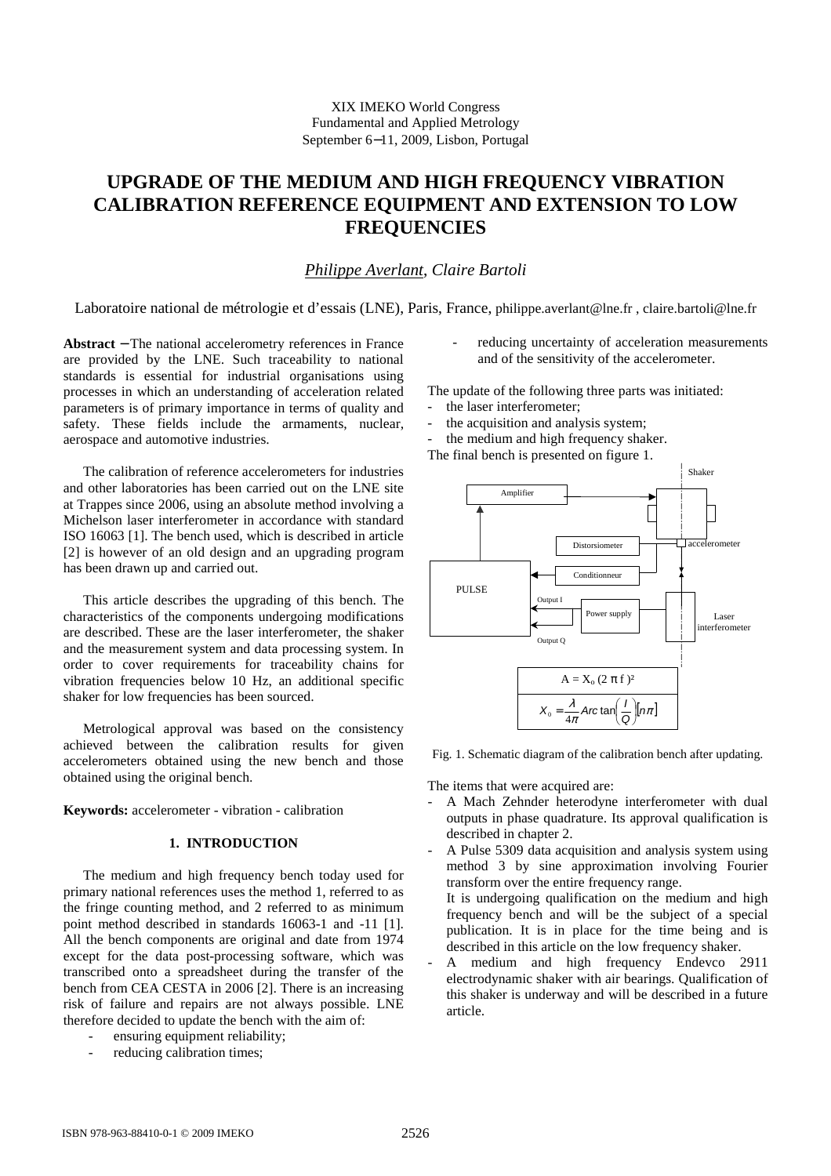# **UPGRADE OF THE MEDIUM AND HIGH FREQUENCY VIBRATION CALIBRATION REFERENCE EQUIPMENT AND EXTENSION TO LOW FREQUENCIES**

# *Philippe Averlant*, *Claire Bartoli*

Laboratoire national de métrologie et d'essais (LNE), Paris, France, philippe.averlant@lne.fr , claire.bartoli@lne.fr

**Abstract** − The national accelerometry references in France are provided by the LNE. Such traceability to national standards is essential for industrial organisations using processes in which an understanding of acceleration related parameters is of primary importance in terms of quality and safety. These fields include the armaments, nuclear, aerospace and automotive industries.

The calibration of reference accelerometers for industries and other laboratories has been carried out on the LNE site at Trappes since 2006, using an absolute method involving a Michelson laser interferometer in accordance with standard ISO 16063 [1]. The bench used, which is described in article [2] is however of an old design and an upgrading program has been drawn up and carried out.

This article describes the upgrading of this bench. The characteristics of the components undergoing modifications are described. These are the laser interferometer, the shaker and the measurement system and data processing system. In order to cover requirements for traceability chains for vibration frequencies below 10 Hz, an additional specific shaker for low frequencies has been sourced.

Metrological approval was based on the consistency achieved between the calibration results for given accelerometers obtained using the new bench and those obtained using the original bench.

**Keywords:** accelerometer - vibration - calibration

# **1. INTRODUCTION**

The medium and high frequency bench today used for primary national references uses the method 1, referred to as the fringe counting method, and 2 referred to as minimum point method described in standards 16063-1 and -11 [1]. All the bench components are original and date from 1974 except for the data post-processing software, which was transcribed onto a spreadsheet during the transfer of the bench from CEA CESTA in 2006 [2]. There is an increasing risk of failure and repairs are not always possible. LNE therefore decided to update the bench with the aim of:

- ensuring equipment reliability;
- reducing calibration times;

reducing uncertainty of acceleration measurements and of the sensitivity of the accelerometer.

The update of the following three parts was initiated:

- the laser interferometer;
- the acquisition and analysis system;
- the medium and high frequency shaker.

The final bench is presented on figure 1.



Fig. 1. Schematic diagram of the calibration bench after updating.

The items that were acquired are:

- A Mach Zehnder heterodyne interferometer with dual outputs in phase quadrature. Its approval qualification is described in chapter 2.
- A Pulse 5309 data acquisition and analysis system using method 3 by sine approximation involving Fourier transform over the entire frequency range. It is undergoing qualification on the medium and high frequency bench and will be the subject of a special publication. It is in place for the time being and is described in this article on the low frequency shaker.
- A medium and high frequency Endevco 2911 electrodynamic shaker with air bearings. Qualification of this shaker is underway and will be described in a future article.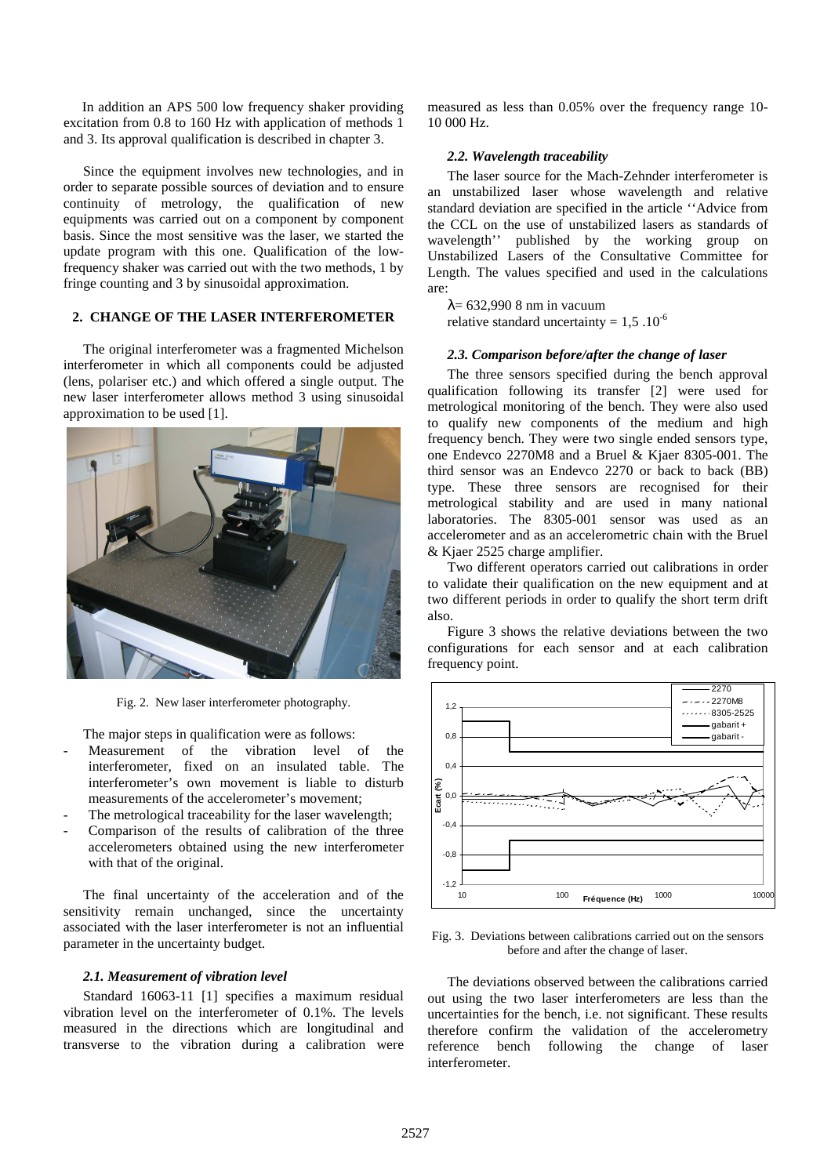In addition an APS 500 low frequency shaker providing excitation from 0.8 to 160 Hz with application of methods 1 and 3. Its approval qualification is described in chapter 3.

Since the equipment involves new technologies, and in order to separate possible sources of deviation and to ensure continuity of metrology, the qualification of new equipments was carried out on a component by component basis. Since the most sensitive was the laser, we started the update program with this one. Qualification of the lowfrequency shaker was carried out with the two methods, 1 by fringe counting and 3 by sinusoidal approximation.

# **2. CHANGE OF THE LASER INTERFEROMETER**

The original interferometer was a fragmented Michelson interferometer in which all components could be adjusted (lens, polariser etc.) and which offered a single output. The new laser interferometer allows method 3 using sinusoidal approximation to be used [1].



Fig. 2. New laser interferometer photography.

The major steps in qualification were as follows:

- Measurement of the vibration level of the interferometer, fixed on an insulated table. The interferometer's own movement is liable to disturb measurements of the accelerometer's movement;
- The metrological traceability for the laser wavelength;
- Comparison of the results of calibration of the three accelerometers obtained using the new interferometer with that of the original.

The final uncertainty of the acceleration and of the sensitivity remain unchanged, since the uncertainty associated with the laser interferometer is not an influential parameter in the uncertainty budget.

#### *2.1. Measurement of vibration level*

Standard 16063-11 [1] specifies a maximum residual vibration level on the interferometer of 0.1%. The levels measured in the directions which are longitudinal and transverse to the vibration during a calibration were measured as less than 0.05% over the frequency range 10- 10 000 Hz.

### *2.2. Wavelength traceability*

The laser source for the Mach-Zehnder interferometer is an unstabilized laser whose wavelength and relative standard deviation are specified in the article ''Advice from the CCL on the use of unstabilized lasers as standards of wavelength'' published by the working group on Unstabilized Lasers of the Consultative Committee for Length. The values specified and used in the calculations are:

 $λ= 632.9908$  nm in vacuum relative standard uncertainty =  $1,5$  .10<sup>-6</sup>

#### *2.3. Comparison before/after the change of laser*

The three sensors specified during the bench approval qualification following its transfer [2] were used for metrological monitoring of the bench. They were also used to qualify new components of the medium and high frequency bench. They were two single ended sensors type, one Endevco 2270M8 and a Bruel & Kjaer 8305-001. The third sensor was an Endevco 2270 or back to back (BB) type. These three sensors are recognised for their metrological stability and are used in many national laboratories. The 8305-001 sensor was used as an accelerometer and as an accelerometric chain with the Bruel & Kjaer 2525 charge amplifier.

Two different operators carried out calibrations in order to validate their qualification on the new equipment and at two different periods in order to qualify the short term drift also.

Figure 3 shows the relative deviations between the two configurations for each sensor and at each calibration frequency point.



Fig. 3. Deviations between calibrations carried out on the sensors before and after the change of laser.

The deviations observed between the calibrations carried out using the two laser interferometers are less than the uncertainties for the bench, i.e. not significant. These results therefore confirm the validation of the accelerometry reference bench following the change of laser interferometer.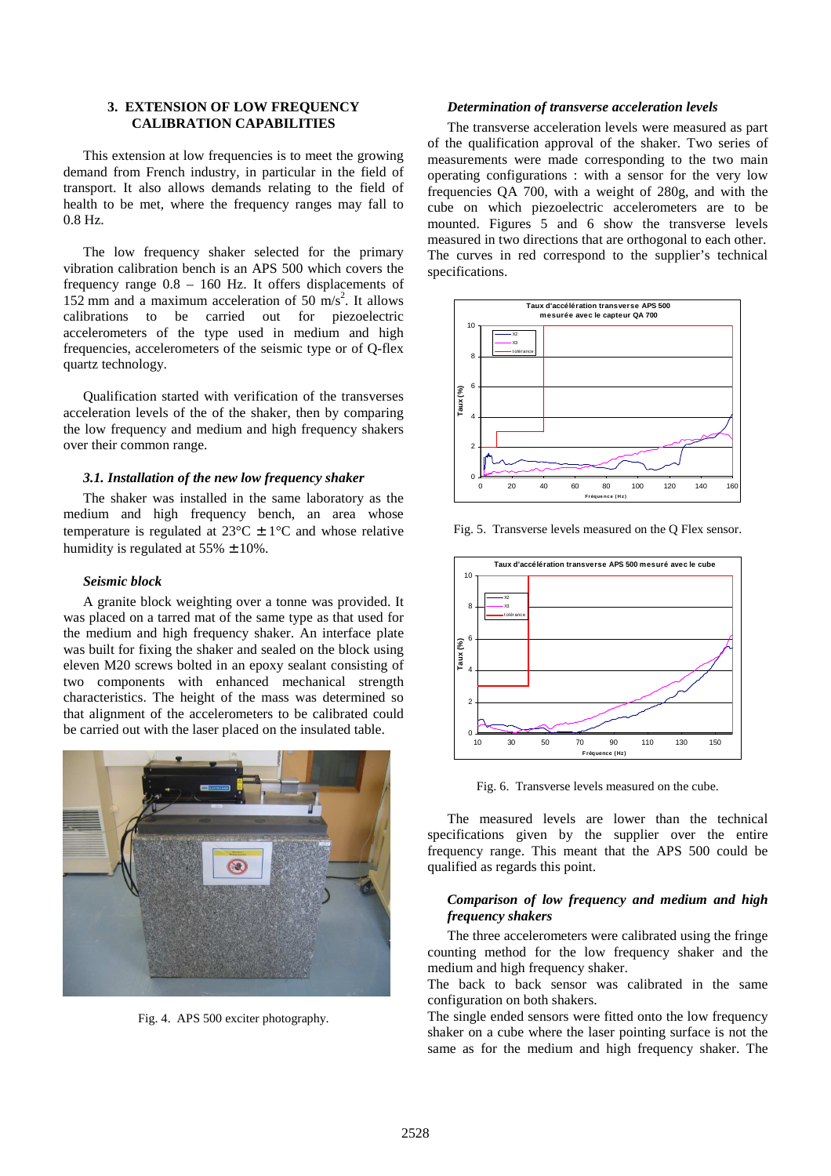# **3. EXTENSION OF LOW FREQUENCY CALIBRATION CAPABILITIES**

This extension at low frequencies is to meet the growing demand from French industry, in particular in the field of transport. It also allows demands relating to the field of health to be met, where the frequency ranges may fall to 0.8 Hz.

The low frequency shaker selected for the primary vibration calibration bench is an APS 500 which covers the frequency range 0.8 – 160 Hz. It offers displacements of 152 mm and a maximum acceleration of 50  $\text{m/s}^2$ . It allows calibrations to be carried out for piezoelectric accelerometers of the type used in medium and high frequencies, accelerometers of the seismic type or of Q-flex quartz technology.

Qualification started with verification of the transverses acceleration levels of the of the shaker, then by comparing the low frequency and medium and high frequency shakers over their common range.

## *3.1. Installation of the new low frequency shaker*

The shaker was installed in the same laboratory as the medium and high frequency bench, an area whose temperature is regulated at  $23^{\circ}$ C  $\pm$  1°C and whose relative humidity is regulated at  $55\% \pm 10\%$ .

#### *Seismic block*

A granite block weighting over a tonne was provided. It was placed on a tarred mat of the same type as that used for the medium and high frequency shaker. An interface plate was built for fixing the shaker and sealed on the block using eleven M20 screws bolted in an epoxy sealant consisting of two components with enhanced mechanical strength characteristics. The height of the mass was determined so that alignment of the accelerometers to be calibrated could be carried out with the laser placed on the insulated table.



Fig. 4. APS 500 exciter photography.

## *Determination of transverse acceleration levels*

The transverse acceleration levels were measured as part of the qualification approval of the shaker. Two series of measurements were made corresponding to the two main operating configurations : with a sensor for the very low frequencies QA 700, with a weight of 280g, and with the cube on which piezoelectric accelerometers are to be mounted. Figures 5 and 6 show the transverse levels measured in two directions that are orthogonal to each other. The curves in red correspond to the supplier's technical specifications.



Fig. 5. Transverse levels measured on the Q Flex sensor.



Fig. 6. Transverse levels measured on the cube.

The measured levels are lower than the technical specifications given by the supplier over the entire frequency range. This meant that the APS 500 could be qualified as regards this point.

## *Comparison of low frequency and medium and high frequency shakers*

The three accelerometers were calibrated using the fringe counting method for the low frequency shaker and the medium and high frequency shaker.

The back to back sensor was calibrated in the same configuration on both shakers.

The single ended sensors were fitted onto the low frequency shaker on a cube where the laser pointing surface is not the same as for the medium and high frequency shaker. The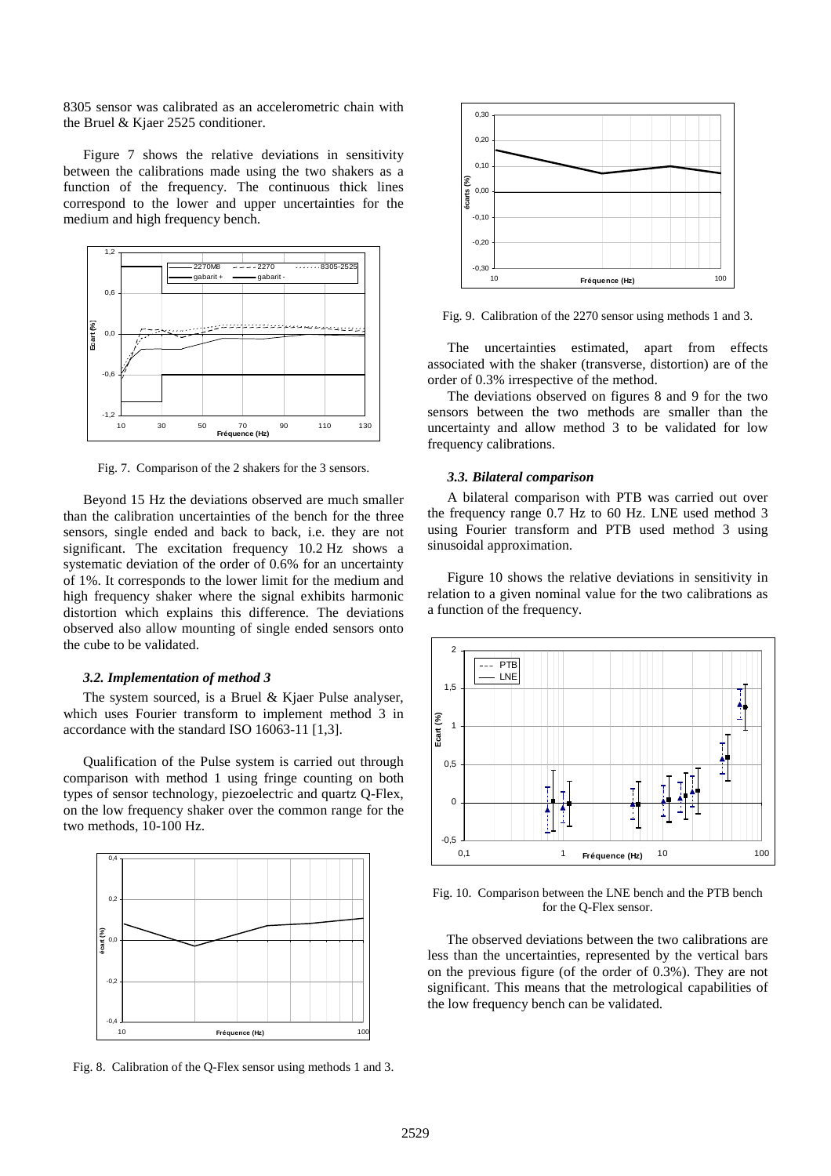8305 sensor was calibrated as an accelerometric chain with the Bruel & Kjaer 2525 conditioner.

Figure 7 shows the relative deviations in sensitivity between the calibrations made using the two shakers as a function of the frequency. The continuous thick lines correspond to the lower and upper uncertainties for the medium and high frequency bench.



Fig. 7. Comparison of the 2 shakers for the 3 sensors.

Beyond 15 Hz the deviations observed are much smaller than the calibration uncertainties of the bench for the three sensors, single ended and back to back, i.e. they are not significant. The excitation frequency 10.2 Hz shows a systematic deviation of the order of 0.6% for an uncertainty of 1%. It corresponds to the lower limit for the medium and high frequency shaker where the signal exhibits harmonic distortion which explains this difference. The deviations observed also allow mounting of single ended sensors onto the cube to be validated.

#### *3.2. Implementation of method 3*

The system sourced, is a Bruel & Kjaer Pulse analyser, which uses Fourier transform to implement method 3 in accordance with the standard ISO 16063-11 [1,3].

Qualification of the Pulse system is carried out through comparison with method 1 using fringe counting on both types of sensor technology, piezoelectric and quartz Q-Flex, on the low frequency shaker over the common range for the two methods, 10-100 Hz.



Fig. 8. Calibration of the Q-Flex sensor using methods 1 and 3.



Fig. 9. Calibration of the 2270 sensor using methods 1 and 3.

The uncertainties estimated, apart from effects associated with the shaker (transverse, distortion) are of the order of 0.3% irrespective of the method.

The deviations observed on figures 8 and 9 for the two sensors between the two methods are smaller than the uncertainty and allow method 3 to be validated for low frequency calibrations.

#### *3.3. Bilateral comparison*

A bilateral comparison with PTB was carried out over the frequency range 0.7 Hz to 60 Hz. LNE used method 3 using Fourier transform and PTB used method 3 using sinusoidal approximation.

Figure 10 shows the relative deviations in sensitivity in relation to a given nominal value for the two calibrations as a function of the frequency.



Fig. 10. Comparison between the LNE bench and the PTB bench for the Q-Flex sensor.

The observed deviations between the two calibrations are less than the uncertainties, represented by the vertical bars on the previous figure (of the order of 0.3%). They are not significant. This means that the metrological capabilities of the low frequency bench can be validated.